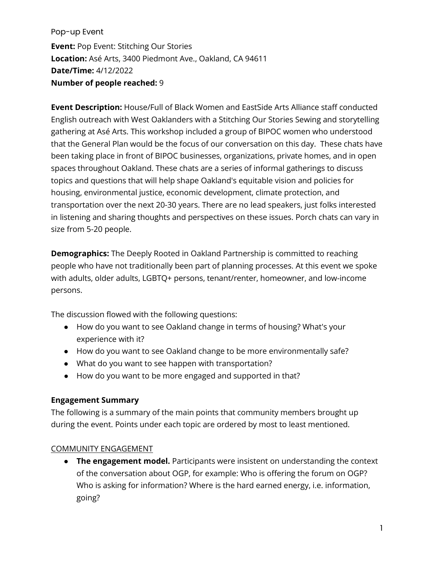Pop-up Event **Event:** Pop Event: Stitching Our Stories **Location:** Asé Arts, 3400 Piedmont Ave., Oakland, CA 94611 **Date/Time:** 4/12/2022 **Number of people reached:** 9

**Event Description:** House/Full of Black Women and EastSide Arts Alliance staff conducted English outreach with West Oaklanders with a Stitching Our Stories Sewing and storytelling gathering at Asé Arts. This workshop included a group of BIPOC women who understood that the General Plan would be the focus of our conversation on this day. These chats have been taking place in front of BIPOC businesses, organizations, private homes, and in open spaces throughout Oakland. These chats are a series of informal gatherings to discuss topics and questions that will help shape Oakland's equitable vision and policies for housing, environmental justice, economic development, climate protection, and transportation over the next 20-30 years. There are no lead speakers, just folks interested in listening and sharing thoughts and perspectives on these issues. Porch chats can vary in size from 5-20 people.

**Demographics:** The Deeply Rooted in Oakland Partnership is committed to reaching people who have not traditionally been part of planning processes. At this event we spoke with adults, older adults, LGBTQ+ persons, tenant/renter, homeowner, and low-income persons.

The discussion flowed with the following questions:

- How do you want to see Oakland change in terms of housing? What's your experience with it?
- How do you want to see Oakland change to be more environmentally safe?
- What do you want to see happen with transportation?
- How do you want to be more engaged and supported in that?

## **Engagement Summary**

The following is a summary of the main points that community members brought up during the event. Points under each topic are ordered by most to least mentioned.

## COMMUNITY ENGAGEMENT

● **The engagement model.** Participants were insistent on understanding the context of the conversation about OGP, for example: Who is offering the forum on OGP? Who is asking for information? Where is the hard earned energy, i.e. information, going?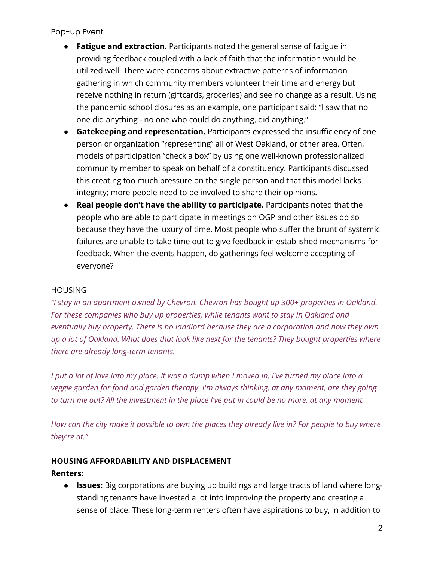Pop-up Event

- **Fatigue and extraction.** Participants noted the general sense of fatigue in providing feedback coupled with a lack of faith that the information would be utilized well. There were concerns about extractive patterns of information gathering in which community members volunteer their time and energy but receive nothing in return (giftcards, groceries) and see no change as a result. Using the pandemic school closures as an example, one participant said: "I saw that no one did anything - no one who could do anything, did anything."
- **Gatekeeping and representation.** Participants expressed the insufficiency of one person or organization "representing" all of West Oakland, or other area. Often, models of participation "check a box" by using one well-known professionalized community member to speak on behalf of a constituency. Participants discussed this creating too much pressure on the single person and that this model lacks integrity; more people need to be involved to share their opinions.
- **Real people don't have the ability to participate.** Participants noted that the people who are able to participate in meetings on OGP and other issues do so because they have the luxury of time. Most people who suffer the brunt of systemic failures are unable to take time out to give feedback in established mechanisms for feedback. When the events happen, do gatherings feel welcome accepting of everyone?

## HOUSING

*"I stay in an apartment owned by Chevron. Chevron has bought up 300+ properties in Oakland. For these companies who buy up properties, while tenants want to stay in Oakland and eventually buy property. There is no landlord because they are a corporation and now they own up a lot of Oakland. What does that look like next for the tenants? They bought properties where there are already long-term tenants.*

*I put a lot of love into my place. It was a dump when I moved in, I've turned my place into a veggie garden for food and garden therapy. I'm always thinking, at any moment, are they going to turn me out? All the investment in the place I've put in could be no more, at any moment.*

*How can the city make it possible to own the places they already live in? For people to buy where they're at."*

## **HOUSING AFFORDABILITY AND DISPLACEMENT**

**Renters:**

● **Issues:** Big corporations are buying up buildings and large tracts of land where longstanding tenants have invested a lot into improving the property and creating a sense of place. These long-term renters often have aspirations to buy, in addition to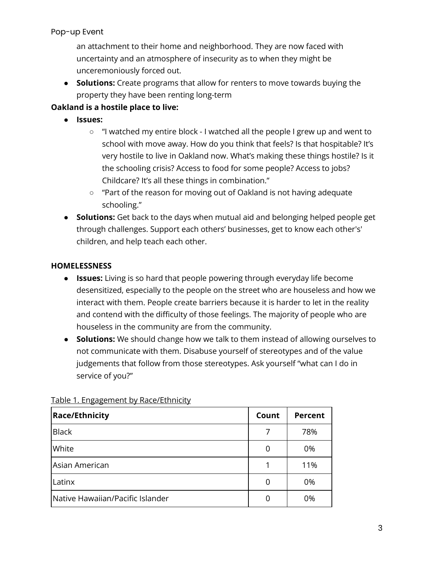## Pop-up Event

an attachment to their home and neighborhood. They are now faced with uncertainty and an atmosphere of insecurity as to when they might be unceremoniously forced out.

● **Solutions:** Create programs that allow for renters to move towards buying the property they have been renting long-term

## **Oakland is a hostile place to live:**

- **Issues:** 
	- "I watched my entire block I watched all the people I grew up and went to school with move away. How do you think that feels? Is that hospitable? It's very hostile to live in Oakland now. What's making these things hostile? Is it the schooling crisis? Access to food for some people? Access to jobs? Childcare? It's all these things in combination."
	- "Part of the reason for moving out of Oakland is not having adequate schooling."
- **Solutions:** Get back to the days when mutual aid and belonging helped people get through challenges. Support each others' businesses, get to know each other's' children, and help teach each other.

## **HOMELESSNESS**

- **Issues:** Living is so hard that people powering through everyday life become desensitized, especially to the people on the street who are houseless and how we interact with them. People create barriers because it is harder to let in the reality and contend with the difficulty of those feelings. The majority of people who are houseless in the community are from the community.
- **Solutions:** We should change how we talk to them instead of allowing ourselves to not communicate with them. Disabuse yourself of stereotypes and of the value judgements that follow from those stereotypes. Ask yourself "what can I do in service of you?"

| <b>Race/Ethnicity</b>            | Count | <b>Percent</b> |
|----------------------------------|-------|----------------|
| <b>Black</b>                     | 7     | 78%            |
| White                            | 0     | 0%             |
| Asian American                   | 1     | 11%            |
| Latinx                           |       | 0%             |
| Native Hawaiian/Pacific Islander |       | 0%             |

## Table 1. Engagement by Race/Ethnicity